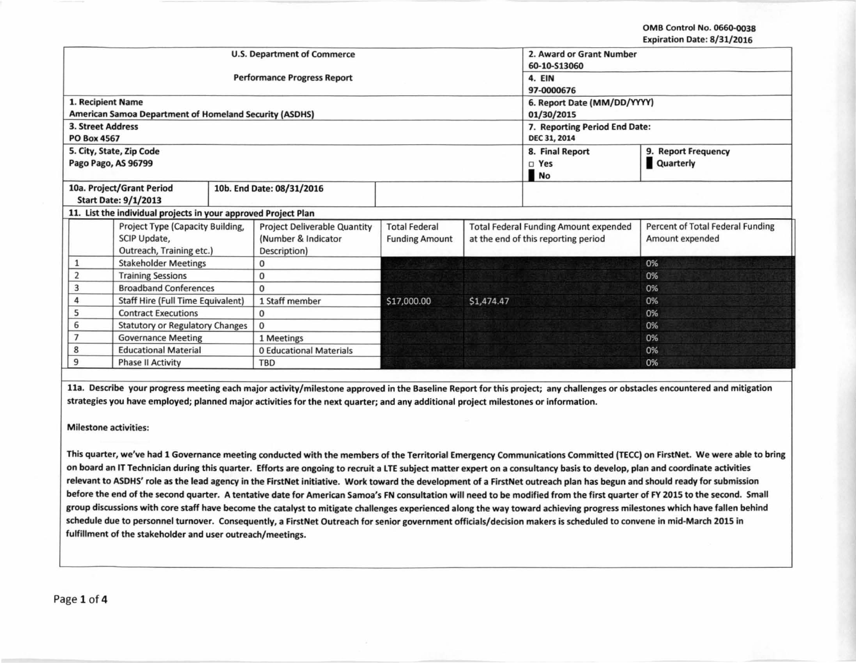OMB Control No. 0660-0038 Expiration Date: 8/31/2016

|                                               |                                                                |                                     |                       |                                     |                                              | Aphation batt: by SA, LUIU       |  |
|-----------------------------------------------|----------------------------------------------------------------|-------------------------------------|-----------------------|-------------------------------------|----------------------------------------------|----------------------------------|--|
|                                               | <b>U.S. Department of Commerce</b>                             | 2. Award or Grant Number            |                       |                                     |                                              |                                  |  |
|                                               |                                                                | 60-10-S13060                        |                       |                                     |                                              |                                  |  |
|                                               |                                                                | <b>Performance Progress Report</b>  |                       |                                     | 4. EIN                                       |                                  |  |
|                                               |                                                                |                                     |                       |                                     | 97-0000676                                   |                                  |  |
| 1. Recipient Name                             |                                                                |                                     |                       |                                     | 6. Report Date (MM/DD/YYYY)                  |                                  |  |
|                                               | American Samoa Department of Homeland Security (ASDHS)         |                                     |                       |                                     | 01/30/2015                                   |                                  |  |
| <b>3. Street Address</b>                      |                                                                |                                     |                       |                                     | 7. Reporting Period End Date:                |                                  |  |
| <b>PO Box 4567</b>                            |                                                                |                                     |                       |                                     | DEC 31, 2014                                 |                                  |  |
|                                               | 5. City, State, Zip Code                                       |                                     |                       |                                     | 8. Final Report                              | 9. Report Frequency              |  |
| Pago Pago, AS 96799                           |                                                                |                                     |                       |                                     | $\square$ Yes                                | Quarterly                        |  |
|                                               |                                                                |                                     |                       |                                     | <b>No</b>                                    |                                  |  |
|                                               | 10a. Project/Grant Period                                      | 10b. End Date: 08/31/2016           |                       |                                     |                                              |                                  |  |
|                                               | <b>Start Date: 9/1/2013</b>                                    |                                     |                       |                                     |                                              |                                  |  |
|                                               | 11. List the individual projects in your approved Project Plan |                                     |                       |                                     |                                              |                                  |  |
|                                               | Project Type (Capacity Building,                               | <b>Project Deliverable Quantity</b> | <b>Total Federal</b>  |                                     | <b>Total Federal Funding Amount expended</b> | Percent of Total Federal Funding |  |
| SCIP Update,                                  |                                                                | (Number & Indicator                 | <b>Funding Amount</b> | at the end of this reporting period |                                              | Amount expended                  |  |
| Outreach, Training etc.)                      |                                                                | Description)                        |                       |                                     |                                              |                                  |  |
| <b>Stakeholder Meetings</b>                   |                                                                | 0                                   |                       |                                     |                                              | 0%                               |  |
| <b>Training Sessions</b>                      |                                                                | 0                                   |                       |                                     |                                              | 0%                               |  |
| 3<br><b>Broadband Conferences</b>             |                                                                | $\mathbf{0}$                        |                       |                                     |                                              | 0%                               |  |
| 4<br><b>Staff Hire (Full Time Equivalent)</b> |                                                                | 1 Staff member                      | \$17,000.00           | \$1,474.47                          |                                              | 0%                               |  |
| 5<br><b>Contract Executions</b>               |                                                                | 0                                   |                       |                                     |                                              | 0%                               |  |
| 6<br><b>Statutory or Regulatory Changes</b>   |                                                                | $\mathbf 0$                         |                       |                                     |                                              | 0%                               |  |
| <b>Governance Meeting</b>                     |                                                                | 1 Meetings                          |                       |                                     |                                              | 0%                               |  |
| 8<br><b>Educational Material</b>              |                                                                | <b>0 Educational Materials</b>      |                       |                                     |                                              | 0%                               |  |
| 9<br><b>Phase II Activity</b>                 |                                                                | <b>TBD</b>                          |                       |                                     |                                              | 0%                               |  |

lla. Describe your progress meeting each major activity/milestone approved in the Baseline Report for this project; any challenges or obstacles encountered and mitigation strategies you have employed; planned major activities for the next quarter; and any additional project milestones or information.

Milestone activities:

This quarter, we've had 1 Governance meeting conducted with the members of the Territorial Emergency Communications Committed (TECC) on FirstNet. We were able to bring on board an IT Technician during this quarter. Efforts are ongoing to recruit a LTE subject matter expert on a consultancy basis to develop, plan and coordinate activities relevant to ASDHS' role as the lead agency in the FirstNet initiative. Work toward the development of a FirstNet outreach plan has begun and should ready for submission before the end of the second quarter. A tentative date for American Samoa's FN consultation will need to be modified from the first quarter of FY 2015 to the second. Small group discussions with core staff have become the catalyst to mitigate challenges experienced along the way toward achieving progress milestones which have fallen behind schedule due to personnel turnover. Consequently, a FirstNet Outreach for senior government officials/decision makers is scheduled to convene in mid-March 2015 in fulfillment of the stakeholder and user outreach/meetings.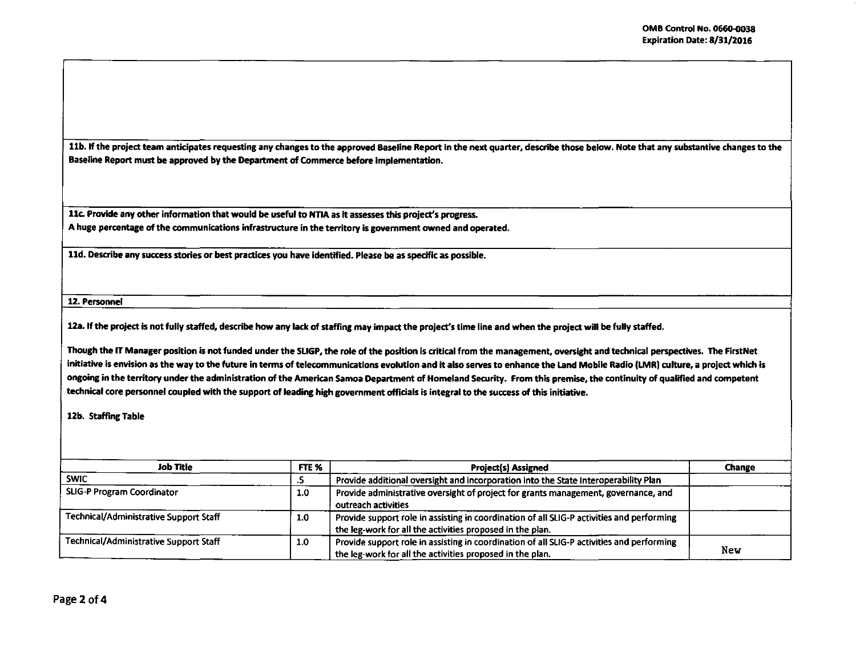11b. If the project team anticipates requesting any changes to the approved Baseline Report in the next quarter, describe those below. Note that any substantive changes to the Baseline Report must be approved by the Department of Commerce before implementation.

Uc. Provide any other information that would be useful to NTIA as It assesses this project's progress. A huge percentage of the communications infrastructure in the territory is government owned and operated.

ltd. Describe any success stories or best practices you have identified. Please be as specific as possible.

12. Personnel

12a. If the project is not fully staffed, describe how any lack of staffing may impact the project's time line and when the project will be fully staffed.

Though the IT Manager position is not funded under the SLIGP, the role of the position is critical from the management, oversight and technical perspectives. The FirstNet initiative is envision as the way to the future in terms of telecommunications evolution and it also serves to enhance the Land Mobile Radio (LMR) culture, a project which is ongoing in the territory under the administration of the American Samoa Department of Homeland Security. From this premise, the continuity of qualified and competent technical core personnel coupled with the support of leading high government officials is integral to the success of this initiative.

12b. Staffing Table

| Job Title                                     | FTE %            | <b>Project(s) Assigned</b>                                                                                                                             | Change |
|-----------------------------------------------|------------------|--------------------------------------------------------------------------------------------------------------------------------------------------------|--------|
| <b>SWIC</b>                                   | تندم             | Provide additional oversight and incorporation into the State Interoperability Plan                                                                    |        |
| SLIG-P Program Coordinator                    | 1.0 <sub>1</sub> | Provide administrative oversight of project for grants management, governance, and<br>outreach activities                                              |        |
| <b>Technical/Administrative Support Staff</b> | 1.0              | Provide support role in assisting in coordination of all SLIG-P activities and performing<br>the leg-work for all the activities proposed in the plan. |        |
| Technical/Administrative Support Staff        | 1.0              | Provide support role in assisting in coordination of all SLIG-P activities and performing<br>the leg-work for all the activities proposed in the plan. | New    |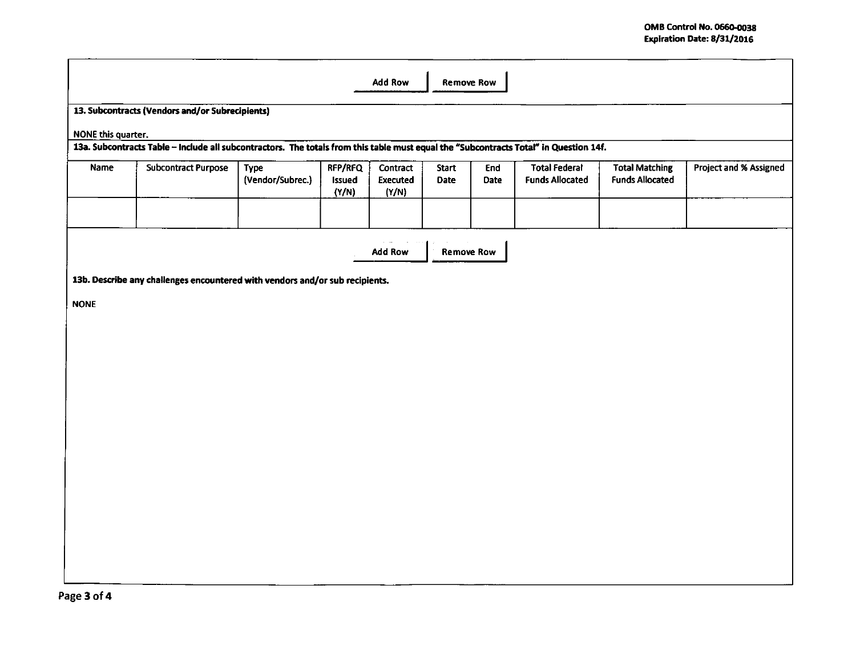|                    | <b>Add Row</b><br><b>Remove Row</b>                                                                                                   |                          |                                   |                                      |                             |                    |                                                |                                                 |                        |
|--------------------|---------------------------------------------------------------------------------------------------------------------------------------|--------------------------|-----------------------------------|--------------------------------------|-----------------------------|--------------------|------------------------------------------------|-------------------------------------------------|------------------------|
|                    | 13. Subcontracts (Vendors and/or Subrecipients)                                                                                       |                          |                                   |                                      |                             |                    |                                                |                                                 |                        |
| NONE this quarter. |                                                                                                                                       |                          |                                   |                                      |                             |                    |                                                |                                                 |                        |
|                    | 13a. Subcontracts Table - Include all subcontractors. The totals from this table must equal the "Subcontracts Total" in Question 14f. |                          |                                   |                                      |                             |                    |                                                |                                                 |                        |
| Name               | <b>Subcontract Purpose</b>                                                                                                            | Type<br>(Vendor/Subrec.) | RFP/RFQ<br><b>Issued</b><br>(Y/N) | Contract<br><b>Executed</b><br>(Y/N) | <b>Start</b><br><b>Date</b> | End<br><b>Date</b> | <b>Total Federal</b><br><b>Funds Allocated</b> | <b>Total Matching</b><br><b>Funds Allocated</b> | Project and % Assigned |
|                    |                                                                                                                                       |                          |                                   |                                      |                             |                    |                                                |                                                 |                        |
|                    |                                                                                                                                       |                          |                                   | Add Row                              | <b>Remove Row</b>           |                    |                                                |                                                 |                        |
|                    | 13b. Describe any challenges encountered with vendors and/or sub recipients.                                                          |                          |                                   |                                      |                             |                    |                                                |                                                 |                        |
| <b>NONE</b>        |                                                                                                                                       |                          |                                   |                                      |                             |                    |                                                |                                                 |                        |
|                    |                                                                                                                                       |                          |                                   |                                      |                             |                    |                                                |                                                 |                        |
|                    |                                                                                                                                       |                          |                                   |                                      |                             |                    |                                                |                                                 |                        |
|                    |                                                                                                                                       |                          |                                   |                                      |                             |                    |                                                |                                                 |                        |
|                    |                                                                                                                                       |                          |                                   |                                      |                             |                    |                                                |                                                 |                        |
|                    |                                                                                                                                       |                          |                                   |                                      |                             |                    |                                                |                                                 |                        |
|                    |                                                                                                                                       |                          |                                   |                                      |                             |                    |                                                |                                                 |                        |
|                    |                                                                                                                                       |                          |                                   |                                      |                             |                    |                                                |                                                 |                        |
|                    |                                                                                                                                       |                          |                                   |                                      |                             |                    |                                                |                                                 |                        |
|                    |                                                                                                                                       |                          |                                   |                                      |                             |                    |                                                |                                                 |                        |
|                    |                                                                                                                                       |                          |                                   |                                      |                             |                    |                                                |                                                 |                        |
|                    |                                                                                                                                       |                          |                                   |                                      |                             |                    |                                                |                                                 |                        |